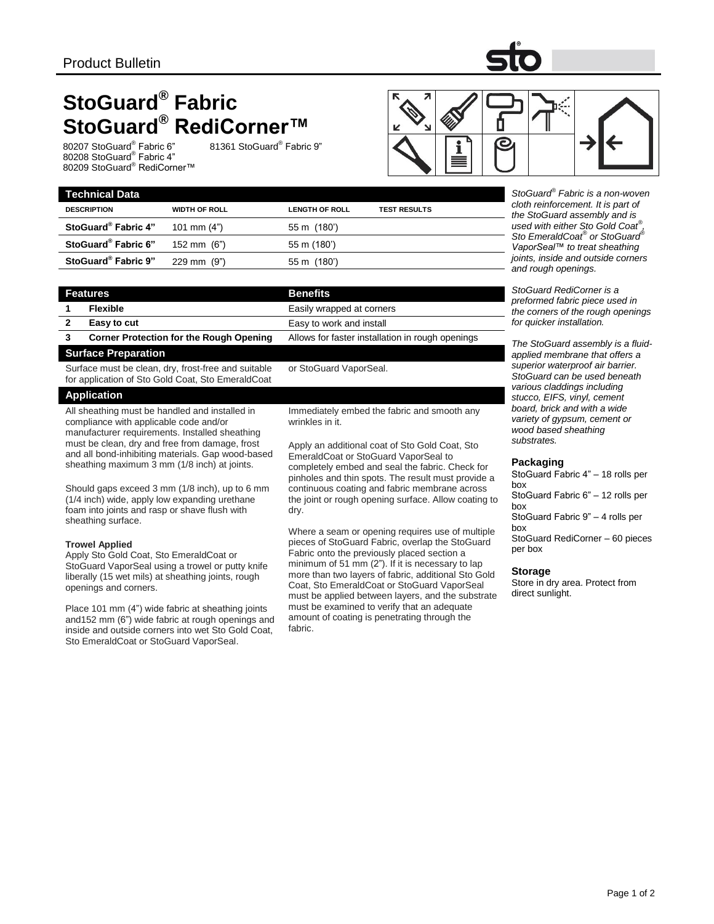

80207 StoGuard® Fabric 6" 80208 StoGuard® Fabric 4" 80209 StoGuard<sup>®</sup> RediCorner™

**Technical Data** 

**StoGuard®**

**StoGuard®**

**StoGuard®**

Fabric 6" 81361 StoGuard<sup>®</sup> Fabric 9"

**DESCRIPTION WIDTH OF ROLL LENGTH OF ROLL TEST RESULTS**

**Fabric 4"** 101 mm (4") 55 m (180')

**Fabric 6"** 152 mm (6") 55 m (180')

**Fabric 9"** 229 mm (9") 55 m (180')



*Fabric is a non-woven cloth reinforcement. It is part of the StoGuard assembly and is used with either Sto Gold Coat® , Sto EmeraldCoat® or StoGuard® VaporSeal™ to treat sheathing joints, inside and outside corners and rough openings.* 

| <b>Features</b> |                                                | <b>Benefits</b>                                  |
|-----------------|------------------------------------------------|--------------------------------------------------|
|                 | Flexible                                       | Easily wrapped at corners                        |
|                 | Easy to cut                                    | Easy to work and install                         |
|                 | <b>Corner Protection for the Rough Opening</b> | Allows for faster installation in rough openings |

## **Surface Preparation**

Surface must be clean, dry, frost-free and suitable for application of Sto Gold Coat, Sto EmeraldCoat

or StoGuard VaporSeal.

# **Application**

All sheathing must be handled and installed in compliance with applicable code and/or manufacturer requirements. Installed sheathing must be clean, dry and free from damage, frost and all bond-inhibiting materials. Gap wood-based sheathing maximum 3 mm (1/8 inch) at joints.

Should gaps exceed 3 mm (1/8 inch), up to 6 mm (1/4 inch) wide, apply low expanding urethane foam into joints and rasp or shave flush with sheathing surface.

## **Trowel Applied**

Apply Sto Gold Coat, Sto EmeraldCoat or StoGuard VaporSeal using a trowel or putty knife liberally (15 wet mils) at sheathing joints, rough openings and corners.

Place 101 mm (4") wide fabric at sheathing joints and152 mm (6") wide fabric at rough openings and inside and outside corners into wet Sto Gold Coat, Sto EmeraldCoat or StoGuard VaporSeal.

Immediately embed the fabric and smooth any wrinkles in it.

Apply an additional coat of Sto Gold Coat, Sto EmeraldCoat or StoGuard VaporSeal to completely embed and seal the fabric. Check for pinholes and thin spots. The result must provide a continuous coating and fabric membrane across the joint or rough opening surface. Allow coating to dry.

Where a seam or opening requires use of multiple pieces of StoGuard Fabric, overlap the StoGuard Fabric onto the previously placed section a minimum of 51 mm (2"). If it is necessary to lap more than two layers of fabric, additional Sto Gold Coat, Sto EmeraldCoat or StoGuard VaporSeal must be applied between layers, and the substrate must be examined to verify that an adequate amount of coating is penetrating through the fabric.

*StoGuard RediCorner is a preformed fabric piece used in the corners of the rough openings for quicker installation.*

*The StoGuard assembly is a fluidapplied membrane that offers a superior waterproof air barrier. StoGuard can be used beneath various claddings including stucco, EIFS, vinyl, cement board, brick and with a wide variety of gypsum, cement or wood based sheathing substrates.*

#### **Packaging**

StoGuard Fabric 4" – 18 rolls per box StoGuard Fabric 6" – 12 rolls per box StoGuard Fabric 9" – 4 rolls per box StoGuard RediCorner – 60 pieces per box

## **Storage**

Store in dry area. Protect from direct sunlight.